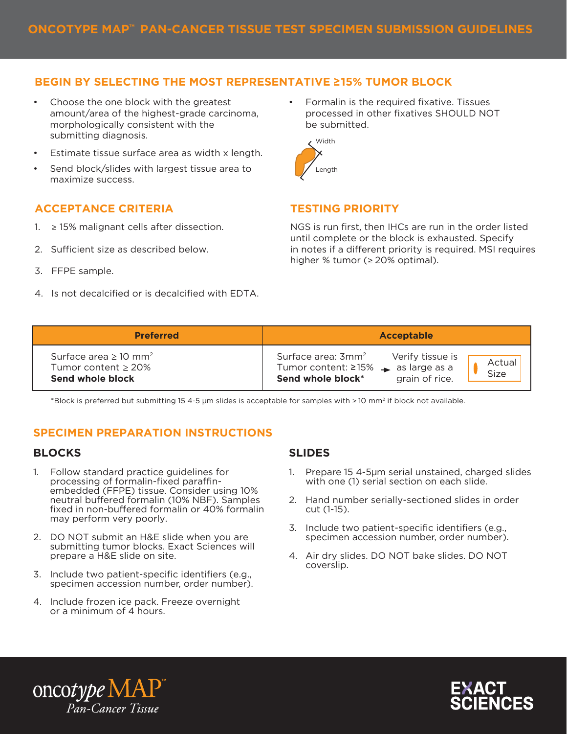# **BEGIN BY SELECTING THE MOST REPRESENTATIVE ≥15% TUMOR BLOCK**

- Choose the one block with the greatest  $\bullet$  Formalin is the required fixative. Tissues amount/area of the highest-grade carcinoma, morphologically consistent with the submitting diagnosis.
- Estimate tissue surface area as width x length.
- Send block/slides with largest tissue area to maximize success.

## **ACCEPTANCE CRITERIA TESTING PRIORITY**

- ≥ 15% malignant cells after dissection.
- 2. Sufficient size as described below.
- 3. FFPE sample.
- 4. Is not decalcified or is decalcified with EDTA.

processed in other fixatives SHOULD NOT be submitted. •



1.  $\geq$  15% malignant cells after dissection. NGS is run first, then IHCs are run in the order listed until complete or the block is exhausted. Specify in notes if a different priority is required. MSI requires higher % tumor (≥ 20% optimal).

| <b>Preferred</b>                                                                       | Acceptable                                                                                                                                                            |
|----------------------------------------------------------------------------------------|-----------------------------------------------------------------------------------------------------------------------------------------------------------------------|
| Surface area $\geq 10$ mm <sup>2</sup><br>Tumor content $\geq$ 20%<br>Send whole block | Surface area: 3mm <sup>2</sup><br>Verify tissue is<br>Actual<br>Tumor content: $\geq 15\%$ $\rightarrow$ as large as a<br>Size<br>Send whole block*<br>grain of rice. |

\*Block is preferred but submitting 15 4-5 μm slides is acceptable for samples with ≥ 10 mm2 if block not available.

### **SPECIMEN PREPARATION INSTRUCTIONS**

#### **BLOCKS**

- 1. Follow standard practice guidelines for processing of formalin-fixed paraffinembedded (FFPE) tissue. Consider using 10% neutral buffered formalin (10% NBF). Samples fixed in non-buffered formalin or 40% formalin may perform very poorly.
- 2. DO NOT submit an H&E slide when you are submitting tumor blocks. Exact Sciences will prepare a H&E slide on site.
- 3. Include two patient-specific identifiers (e.g., specimen accession number, order number).
- 4. Include frozen ice pack. Freeze overnight or a minimum of 4 hours.

### **SLIDES**

- 1. Prepare 15 4-5 µm serial unstained, charged slides with one (1) serial section on each slide.
- 2. Hand number serially-sectioned slides in order cut (1-15).
- 3. Include two patient-specific identifiers (e.g., specimen accession number, order number).
- 4. Air dry slides. DO NOT bake slides. DO NOT coverslip.